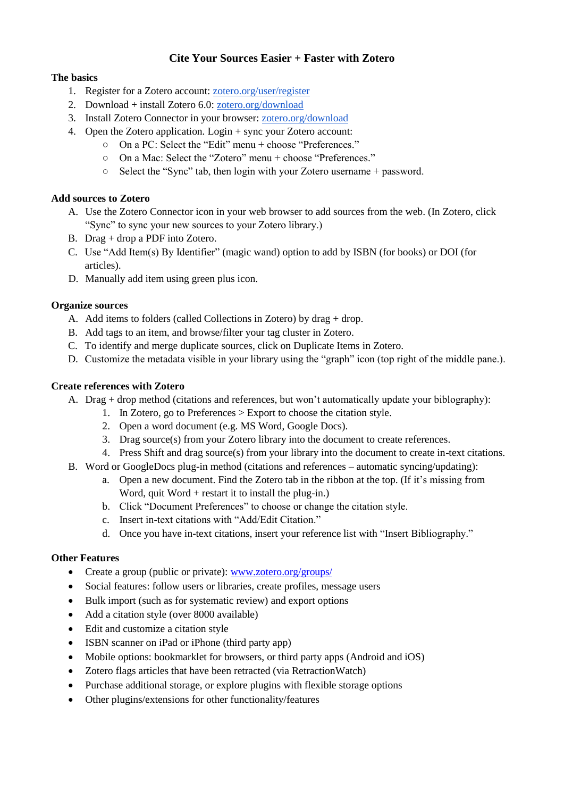# **Cite Your Sources Easier + Faster with Zotero**

# **The basics**

- 1. Register for a Zotero account[: zotero.org/user/register](https://www.zotero.org/user/register/)
- 2. Download + install Zotero 6.0: [zotero.org/download](https://www.zotero.org/download/)
- 3. Install Zotero Connector in your browser: [zotero.org/download](https://www.zotero.org/download/)
- 4. Open the Zotero application. Login + sync your Zotero account:
	- On a PC: Select the "Edit" menu + choose "Preferences."
	- On a Mac: Select the "Zotero" menu + choose "Preferences."
	- Select the "Sync" tab, then login with your Zotero username + password.

### **Add sources to Zotero**

- A. Use the Zotero Connector icon in your web browser to add sources from the web. (In Zotero, click "Sync" to sync your new sources to your Zotero library.)
- B. Drag + drop a PDF into Zotero.
- C. Use "Add Item(s) By Identifier" (magic wand) option to add by ISBN (for books) or DOI (for articles).
- D. Manually add item using green plus icon.

### **Organize sources**

- A. Add items to folders (called Collections in Zotero) by drag + drop.
- B. Add tags to an item, and browse/filter your tag cluster in Zotero.
- C. To identify and merge duplicate sources, click on Duplicate Items in Zotero.
- D. Customize the metadata visible in your library using the "graph" icon (top right of the middle pane.).

#### **Create references with Zotero**

- A. Drag + drop method (citations and references, but won't automatically update your biblography):
	- 1. In Zotero, go to Preferences > Export to choose the citation style.
		- 2. Open a word document (e.g. MS Word, Google Docs).
		- 3. Drag source(s) from your Zotero library into the document to create references.
	- 4. Press Shift and drag source(s) from your library into the document to create in-text citations.
- B. Word or GoogleDocs plug-in method (citations and references automatic syncing/updating):
	- a. Open a new document. Find the Zotero tab in the ribbon at the top. (If it's missing from Word, quit Word  $+$  restart it to install the plug-in.)
	- b. Click "Document Preferences" to choose or change the citation style.
	- c. Insert in-text citations with "Add/Edit Citation."
	- d. Once you have in-text citations, insert your reference list with "Insert Bibliography."

# **Other Features**

- Create a group (public or private): [www.zotero.org/groups/](http://www.zotero.org/groups/)
- Social features: follow users or libraries, create profiles, message users
- Bulk import (such as for systematic review) and export options
- Add a citation style (over 8000 available)
- Edit and customize a citation style
- ISBN scanner on iPad or iPhone (third party app)
- Mobile options: bookmarklet for browsers, or third party apps (Android and iOS)
- Zotero flags articles that have been retracted (via RetractionWatch)
- Purchase additional storage, or explore plugins with flexible storage options
- Other plugins/extensions for other functionality/features